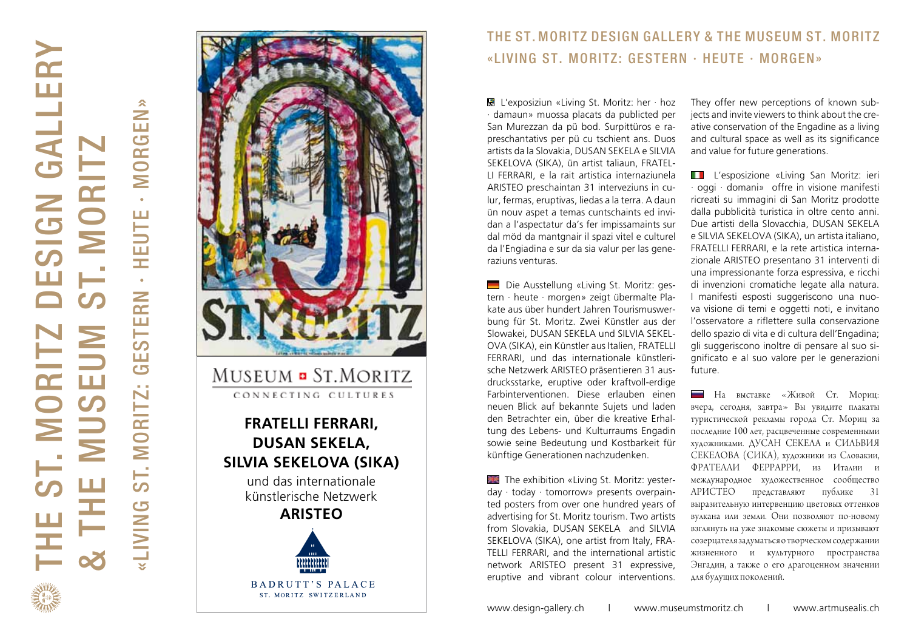# THE ST. MORITZ DESIGN GALLERY  $\overline{\mathbf{r}}$ **JESIGN GALLEF**<br>ST. MORITZ & THE MUSEUM ST. MORITZ  $\bullet$  $\ge$  $\overline{\text{m}}$   $\overline{\text{m}}$  $\bullet$  $\frac{1}{2}$ ш,

**MORGEN**» «LIVING ST. MORITZ: GESTERN · HEUTE · MORGEN» **HEUTE GESTERN** ST. MORITZ: **SNINP** 



### THE ST . MORITZ DESIGN GALLERY & THE MUSEUM ST. MORITZ «LIVING ST. MORITZ: GESTERN · HEUTE · MORGEN»

 L'exposiziun «Living St. Moritz: her · hoz · damaun» muossa placats da publicted per San Murezzan da pü bod. Surpittüros e ra preschantativs per pü cu tschient ans. Duos artists da la Slovakia, DUSAN SEKELA e SILVIA SEKELOVA (SIKA), ün artist taliaun, FRATEL - LI FERRARI, e la rait artistica internaziunela ARISTEO preschaintan 31 interveziuns in cu lur, fermas, eruptivas, liedas a la terra. A daun ün nouv aspet a temas cuntschaints ed invi dan a l'aspectatur da's fer impissamaints sur dal möd da mantgnair il spazi vitel e culturel da l'Engiadina e sur da sia valur per las gene raziuns venturas.

 Die Ausstellung «Living St. Moritz: ges tern · heute · morgen» zeigt übermalte Pla kate aus über hundert Jahren Tourismuswer bung für St. Moritz. Zwei Künstler aus der Slowakei, DUSAN SEKELA und SILVIA SEKEL - OVA (SIKA), ein Künstler aus Italien, FRATELLI FERRARI, und das internationale künstleri sche Netzwerk ARISTEO präsentieren 31 aus drucksstarke, eruptive oder kraftvoll-erdige Farbinterventionen. Diese erlauben einen neuen Blick auf bekannte Sujets und laden den Betrachter ein, über die kreative Erhal tung des Lebens- und Kulturraums Engadin sowie seine Bedeutung und Kostbarkeit für künftige Generationen nachzudenken.

 The exhibition «Living St. Moritz: yester day · today · tomorrow» presents overpain ted posters from over one hundred years of advertising for St. Moritz tourism. Two artists from Slovakia, DUSAN SEKELA and SILVIA SEKELOVA (SIKA), one artist from Italy, FRA - TELLI FERRARI, and the international artistic network ARISTEO present 31 expressive, eruptive and vibrant colour interventions.

They offer new perceptions of known sub jects and invite viewers to think about the cre ative conservation of the Engadine as a living and cultural space as well as its significance and value for future generations.

L'esposizione «Living San Moritz: ieri · oggi · domani» offre in visione manifesti ricreati su immagini di San Moritz prodotte dalla pubblicità turistica in oltre cento anni. Due artisti della Slovacchia, DUSAN SEKELA e SILVIA SEKELOVA (SIKA), un artista italiano, FRATELLI FERRARI, e la rete artistica interna zionale ARISTEO presentano 31 interventi di una impressionante forza espressiva, e ricchi di invenzioni cromatiche legate alla natura. I manifesti esposti suggeriscono una nuo va visione di temi e oggetti noti, e invitano l'osservatore a riflettere sulla conservazione dello spazio di vita e di cultura dell'Engadina; gli suggeriscono inoltre di pensare al suo si gnificato e al suo valore per le generazioni future.

На выставке «Живой Ст. Мориц: вчера, сегодня, завтра» Вы увидите плакаты туристической рекламы города Ст. Мориц за последние 100 лет, расцвеченные современными художниками. ДУСАН СЕКЕЛА и СИЛЬВИЯ СЕКЕЛОВА (СИКА), художники из Словакии, ФРАТЕЛЛИ ФЕРРАРРИ, из Италии и международное художественное сообщество АРИСТЕО представляют публике 31 выразительную интервенцию цвет oвых оттенков вулкана или земли. Они позволяют по -новому взглянуть на уже знакомые сюжеты и призывают созерцателязадуматься отворческомсодержании жизненного и культурного пространства Энгадин, а также о его драгоценном значении для будущих поколений .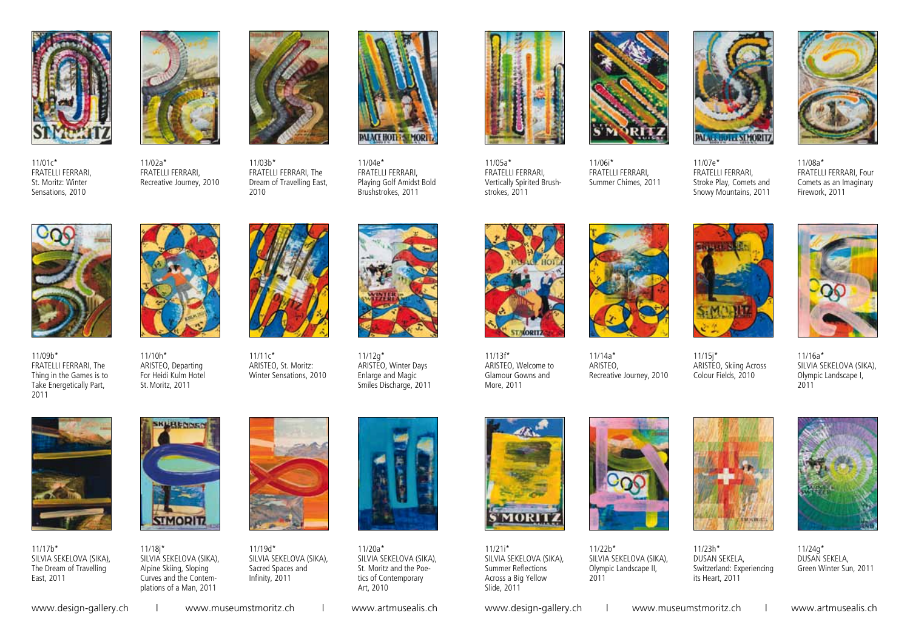

11/01c\* FRATELLI FERRARI, St. Moritz: Winter Sensations, 2010







11/03b\* FRATELLI FERRARI, The Dream of Travelling East, 2010



11/04e\* FRATELLI FERRARI, Playing Golf Amidst Bold Brushstrokes, 2011



11/05a\* FRATELLI FERRARI, Vertically Spirited Brushstrokes, 2011



11/06i\* FRATELLI FERRARI, Summer Chimes, 2011



11/07e\* FRATELLI FERRARI, Stroke Play, Comets and Snowy Mountains, 2011

11/15j\*

Colour Fields, 2010



11/08a\* FRATELLI FERRARI, Four Comets as an Imaginary Firework, 2011



11/09b\* FRATELLI FERRARI, The Thing in the Games is to Take Energetically Part, 2011



11/10h\* ARISTEO, Departing For Heidi Kulm Hotel St.Moritz, 2011

11/11c\* ARISTEO, St. Moritz: Winter Sensations, 2010



11/12g\* ARISTEO, Winter Days Enlarge and Magic Smiles Discharge, 2011



11/13f\* ARISTEO, Welcome to Glamour Gowns and More, 2011



11/14a\* ARISTEO, Recreative Journey, 2010





ARISTEO, Skiing Across 11/16a\* SILVIA SEKELOVA (SIKA), Olympic Landscape I, 2011



11/17b\* SILVIA SEKELOVA (SIKA), The Dream of Travelling East, 2011



11/18j\* SILVIA SEKELOVA (SIKA), Alpine Skiing, Sloping Curves and the Contemplations of a Man, 2011



11/19d\* SILVIA SEKELOVA (SIKA), Sacred Spaces and Infinity, 2011

11/20a\* Art, 2010



SILVIA SEKELOVA (SIKA), St. Moritz and the Poetics of Contemporary



11/21i\* SILVIA SEKELOVA (SIKA), Summer Reflections Across a Big Yellow Slide, 2011



11/22b\* SILVIA SEKELOVA (SIKA), Olympic Landscape II, 2011



11/24g\* DUSAN SEKELA, Green Winter Sun, 2011

www.design-gallery.ch | www.museumstmoritz.ch | www.artmusealis.ch www.design-gallery.ch | www.museumstmoritz.ch | www.artmusealis.ch

**THE FERRY**